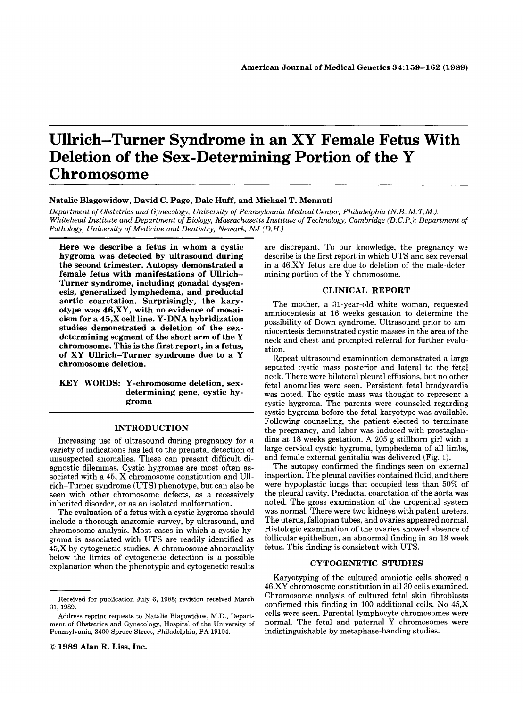# **Ullrich-Turner Syndrome in an XY Female Fetus With Deletion of the Sex-Determining Portion of the Y Chromosome**

#### **Natalie Blagowidow, David C. Page, Dale Huff, and Michael T. Mennuti**

*Department of Obstetrics and Gynecology, University of Pennsylvania Medical Center, Philadelphia (N.B.,M. T.M.); Whitehead Institute and Department of Biology, Massachusetts Institute of Technology, Cambridge (D.C.P.); Department of Pathology, University of Medicine and Dentistry, Newark, NJ (D.H.)* 

**Here we describe a fetus in whom a cystic hygroma was detected by ultrasound during the second trimester. Autopsy demonstrated a female fetus with manifestations of Ullrich-Turner syndrome, including gonadal dysgenesis, generalized lymphedema, and preductal aortic coarctation. Surprisingly, the karyotype was 46,XY, with no evidence of mosaicism for a 45,X cell line. Y-DNA hybridization studies demonstrated a deletion of the sexdetermining segment of the short arm of the Y chromosome. This is the first report, in a fetus, of XY Ullrich-Turner syndrome due to a Y chromosome deletion.** 

## **KEY WORDS: Y-chromosome deletion, sexdetermining gene, cystic hygroma**

## **INTRODUCTION**

Increasing use of ultrasound during pregnancy for a variety of indications has led to the prenatal detection of unsuspected anomalies. These can present difficult diagnostic dilemmas. Cystic hygromas are most often associated with a 45, X chromosome constitution and U11 rich-Turner syndrome (UTS) phenotype, but can also be seen with other chromosome defects, as a recessively inherited disorder, or as an isolated malformation.

The evaluation of a fetus with a cystic hygroma should include a thorough anatomic survey, by ultrasound, and chromosome analysis. Most cases in which a cystic hygroma is associated with UTS are readily identified as 45,X by cytogenetic studies. **A** chromosome abnormality below the limits of cytogenetic detection is a possible explanation when the phenotypic and cytogenetic results are discrepant. To our knowledge, the pregnancy we describe is the first report in which UTS and sex reversal in a 46,XY fetus are due to deletion of the male-determining portion of the Y chromosome.

### **CLINICAL REPORT**

The mother, a 31-year-old white woman, requested amniocentesis at 16 weeks gestation to determine the possibility of Down syndrome. Ultrasound prior to amniocentesis demonstrated cystic masses in the area of the neck and chest and prompted referral for further evaluation.

Repeat ultrasound examination demonstrated a large septated cystic mass posterior and lateral to the fetal neck. There were bilateral pleural effusions, but no other fetal anomalies were seen. Persistent fetal bradycardia was noted. The cystic mass was thought to represent a cystic hygroma. The parents were counseled regarding cystic hygroma before the fetal karyotype was available. Following counseling, the patient elected to terminate the pregnancy, and labor was induced with prostaglandins at 18 weeks gestation. **A** 205 g stillborn girl with a large cervical cystic hygroma, lymphedema of all limbs, and female external genitalia was delivered (Fig. 1).

The autopsy confirmed the findings seen on external inspection. The pleural cavities contained fluid, and there were hypoplastic lungs that occupied less than 50% of the pleural cavity. Preductal coarctation of the aorta was noted. The gross examination of the urogenital system was normal. There were two kidneys with patent ureters. The uterus, fallopian tubes, and ovaries appeared normal. Histologic examination of the ovaries showed absence of follicular epithelium, an abnormal finding in an 18 week fetus. This finding is consistent with UTS.

#### **CYTOGENETIC STUDIES**

Karyotyping of the cultured amniotic cells showed a 46,XY chromosome constitution in all **30** cells examined. Chromosome analysis of cultured fetal skin fibroblasts confirmed this finding in 100 additional cells. No 45,X cells were seen. Parental lymphocyte chromosomes were normal. The fetal and paternal Y chromosomes were indistinguishable by metaphase-banding studies.

Received for publication July 6, 1988; revision received March 31, 1989.

Address reprint requests to Natalie Blagowidow, M.D., Department **of** Obstetrics and Gynecology, Hospital of the University **of**  Pennsylvania, 3400 Spruce Street, Philadelphia, PA 19104.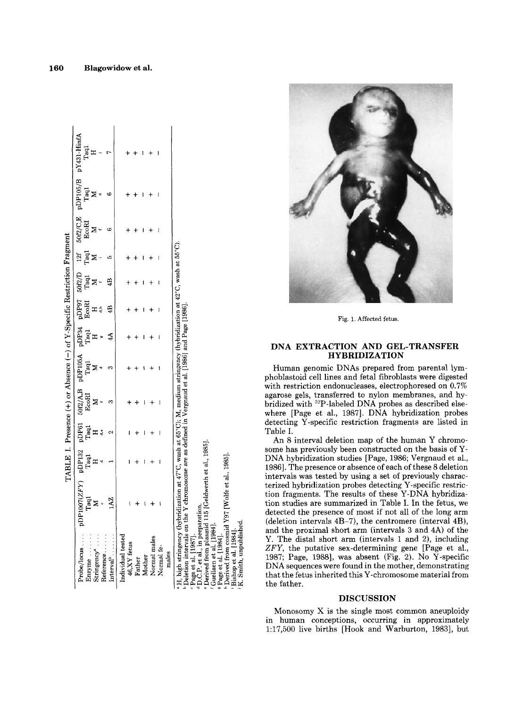|                                                                                                                                                                                                                                     |                                                                                                                                                    |   |                                                                                |                     | TABLE I. Presence (+) or Absence (-) of Y-Specific Restriction Fragment                                                                                                                                       |                                              |                                                                                                                                                   |                              |                                                   |            |   |  |
|-------------------------------------------------------------------------------------------------------------------------------------------------------------------------------------------------------------------------------------|----------------------------------------------------------------------------------------------------------------------------------------------------|---|--------------------------------------------------------------------------------|---------------------|---------------------------------------------------------------------------------------------------------------------------------------------------------------------------------------------------------------|----------------------------------------------|---------------------------------------------------------------------------------------------------------------------------------------------------|------------------------------|---------------------------------------------------|------------|---|--|
| Probe/locus                                                                                                                                                                                                                         |                                                                                                                                                    |   |                                                                                | $50f2/\mathrm{A,B}$ | $\begin{array}{ccccc} &\textit{s} &\textit{pDP105A} &\textit{r} \\\textit{a1} & &\textit{Taql} & &\textit{s} \\\textit{b1} & &\textit{M} & &\textit{s} \\\textit{c2} & &\textit{M} & &\textit{s} \end{array}$ | $_{\rm 144}^{\rm 154}$ $_{\rm 144}^{\rm 14}$ | $\begin{array}{r} \overline{\text{pppr}} \ \text{pDP97} \ \text{E} \text{oRI} \ \text{H} \ \text{H} \ \text{H} \ \text{H} \ \text{H} \end{array}$ | $_{\rm Taq1}^{\rm 50f2/D}$ M | $12f$ $$\rm \overline{12}$$ $$\rm \overline{18}$$ | 50f2/C,E   |   |  |
|                                                                                                                                                                                                                                     |                                                                                                                                                    |   |                                                                                |                     |                                                                                                                                                                                                               |                                              |                                                                                                                                                   |                              |                                                   | EcoRI<br>M |   |  |
| Enzyme<br>Stringency <sup>a</sup>                                                                                                                                                                                                   | $\begin{array}{ccc} \text{pDP1007}(ZFY) & \text{pDP132} \ \text{Tag1} & & \text{Tag1} \ \text{M} & & \text{H} \ \text{M} & & \text{H} \end{array}$ |   | $\Pr_{\mathbf{H} \atop \mathbf{H}}^{\mathbf{D}\mathbf{F}\mathbf{G}\mathbf{I}}$ | EcoRI<br>M          |                                                                                                                                                                                                               |                                              |                                                                                                                                                   |                              |                                                   |            |   |  |
| Reference                                                                                                                                                                                                                           |                                                                                                                                                    |   |                                                                                |                     |                                                                                                                                                                                                               |                                              |                                                                                                                                                   |                              |                                                   |            |   |  |
|                                                                                                                                                                                                                                     |                                                                                                                                                    |   |                                                                                |                     |                                                                                                                                                                                                               | $4\AA$                                       | 4B                                                                                                                                                | $\ddot{a}$                   |                                                   | ¢          | ¢ |  |
| Individual tested                                                                                                                                                                                                                   |                                                                                                                                                    |   |                                                                                |                     |                                                                                                                                                                                                               |                                              |                                                                                                                                                   |                              |                                                   |            |   |  |
| $46,\!{\rm XY}$ fetus                                                                                                                                                                                                               | ١                                                                                                                                                  | ı |                                                                                |                     |                                                                                                                                                                                                               |                                              |                                                                                                                                                   |                              |                                                   |            |   |  |
|                                                                                                                                                                                                                                     |                                                                                                                                                    |   |                                                                                |                     |                                                                                                                                                                                                               |                                              |                                                                                                                                                   |                              |                                                   |            |   |  |
|                                                                                                                                                                                                                                     |                                                                                                                                                    | ۱ |                                                                                |                     |                                                                                                                                                                                                               | ı                                            |                                                                                                                                                   |                              |                                                   |            |   |  |
| Father<br>Mother<br>Normal males<br>Normal fe-                                                                                                                                                                                      |                                                                                                                                                    |   |                                                                                |                     |                                                                                                                                                                                                               |                                              |                                                                                                                                                   |                              |                                                   |            |   |  |
|                                                                                                                                                                                                                                     |                                                                                                                                                    |   |                                                                                |                     |                                                                                                                                                                                                               | I                                            |                                                                                                                                                   |                              |                                                   | I          | I |  |
| males                                                                                                                                                                                                                               |                                                                                                                                                    |   |                                                                                |                     |                                                                                                                                                                                                               |                                              |                                                                                                                                                   |                              |                                                   |            |   |  |
| H, high stringency (hybridization at $47^{\circ}$ C, wash at 65°C); M, medium stringency (hybridization at 42°C, wash at 55°C).<br>Deletion intervals on the Y chromosome are as defined in Vergnaud et al. [1986] and Page [1986]. |                                                                                                                                                    |   |                                                                                |                     |                                                                                                                                                                                                               |                                              |                                                                                                                                                   |                              |                                                   |            |   |  |

in preparation.<br>plasmid 115 [Geldwerth et al., 1985].

 $f_{\rm rom}$ ť ť

from cosmid Y97 [Wolfe et al., 1985]

Smith, unpublished

ť rived: Guellaen ಕ



Fig. **1. Affected** fetus.

## **DNA EXTRACTION AND GEL-TRANSFER HYBRIDIZATION**

Human genomic DNAs prepared from parental lymphoblastoid cell lines and fetal fibroblasts were digested with restriction endonucleases, electrophoresed on 0.7% agarose gels, transferred to nylon membranes, and hybridized with 32P-labeled DNA probes as described elsewhere [Page et al., 1987]. DNA hybridization probes detecting Y -specific restriction fragments are listed in Table I.

An 8 interval deletion map of the human Y chromo-<br>some has previously been constructed on the basis of Y-DNA hybridization studies [Page, 1986; Vergnaud et al., 1986]. The presence or absence of each of these 8 deletion intervals was tested by using a set of previously characterized hybridization probes detecting Y-specific restriction fragments. The results of these Y-DNA hybridization studies are summarized in Table I. In the fetus, we detected the presence of most if not all of the long arm (deletion intervals 4B-7), the centromere (interval 4B), and the proximal short arm (intervals **3** and 4A) of the Y. The distal short arm (intervals 1 and 2), including *ZFY,* the putative sex-determining gene [Page et al., 1987; Page, 1988], was absent (Fig. 2). No  $\bar{Y}$ -specific DNA sequences were found in the mother, demonstrating that the fetus inherited this Y-chromosome material from the father.

#### **DISCUSSION**

Monosomy X is the single most common aneuploidy in human conceptions, occurring in approximately 1:17,500 live births [Hook and Warburton, 1983], but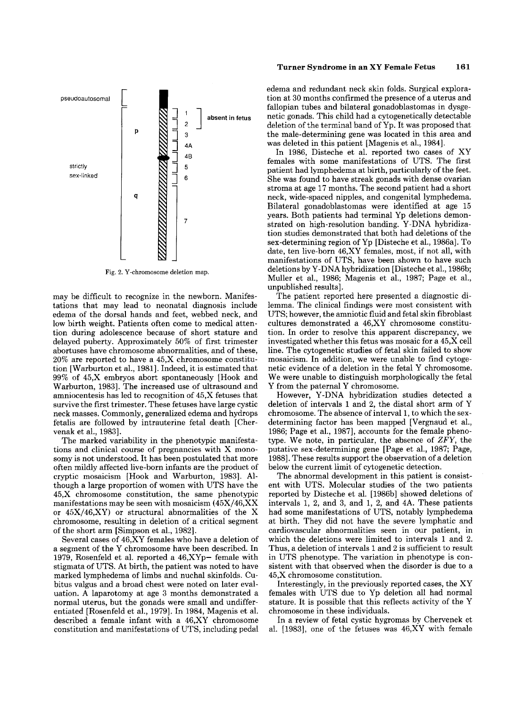

Fig. 2. Y-chromosome deletion map.

may be difficult to recognize in the newborn. Manifestations that may lead to neonatal diagnosis include edema of the dorsal hands and feet, webbed neck, and low birth weight. Patients often come to medical attention during adolescence because of short stature and delayed puberty. Approximately 50% of first trimester abortuses have chromosome abnormalities, and of these, 20% are reported to have a 45,X chromosome constitution [Warburton et al., 19811. Indeed, it is estimated that 99% of 45,X embryos abort spontaneously [Hook and Warburton, 19831. The increased use of ultrasound and amniocentesis has led to recognition of 45,X fetuses that survive the first trimester. These fetuses have large cystic neck masses. Commonly, generalized edema and hydrops fetalis are followed by intrauterine fetal death [Chervenak et al., 1983].

The marked variability in the phenotypic manifestations and clinical course of pregnancies with X monosomy is not understood. It has been postulated that more often mildly affected live-born infants are the product of cryptic mosaicism [Hook and Warburton, 19831. Although a large proportion of women with UTS have the 45,X chromosome constitution, the same phenotypic manifestations may be seen with mosaicism (45X/46,XX or 45X/46,XY) or structural abnormalities of the X chromosome, resulting in deletion of a critical segment of the short arm [Simpson et al., 19821.

Several cases of 46,XY females who have a deletion of a segment of the Y chromosome have been described. In 1979, Rosenfeld et al. reported a  $46, XYp-$  female with stigmata of UTS. At birth, the patient was noted to have marked lymphedema of limbs and nuchal skinfolds. Cubitus valgus and a broad chest were noted on later evaluation. A laparotomy at age 3 months demonstrated a normal uterus, but the gonads were small and undifferentiated [Rosenfeld et al., 1979]. In 1984, Magenis et al. described a female infant with a 46,XY chromosome constitution and manifestations of UTS, including pedal

edema and redundant neck skin folds. Surgical exploration at 30 months confirmed the presence of a uterus and fallopian tubes and bilateral gonadoblastomas in dysgenetic gonads. This child had a cytogenetically detectable deletion of the terminal band of Yp. It was proposed that the male-determining gene was located in this area and was deleted in this patient [Magenis et al., 1984].

In 1986, Disteche et al. reported two cases of XY females with some manifestations of UTS. The first patient had lymphedema at birth, particularly of the feet. She was found to have streak gonads with dense ovarian stroma at age 17 months. The second patient had a short neck, wide-spaced nipples, and congenital lymphedema. Bilateral gonadoblastomas were identified at age 15 years. Both patients had terminal Yp deletions demonstrated on high-resolution banding. Y -DNA hybridization studies demonstrated that both had deletions of the sex-determining region of Yp [Disteche et al., 1986a]. To date, ten live-born 46,XY females, most, if not all, with manifestations of UTS, have been shown to have such deletions by Y-DNA hybridization [Disteche et al., 1986b; Muller et al., 1986; Magenis et al., 1987; Page et al., unpublished results].

The patient reported here presented a diagnostic dilemma. The clinical findings were most consistent with UTS; however, the amniotic fluid and fetal skin fibroblast cultures demonstrated a 46,XY chromosome constitution. In order to resolve this apparent discrepancy, we investigated whether this fetus was mosaic for a 45,X cell line. The cytogenetic studies of fetal skin failed to show mosaicism. In addition, we were unable to find cytogenetic evidence of a deletion in the fetal Y chromosome. We were unable to distinguish morphologically the fetal Y from the paternal Y chromosome.

However, Y -DNA hybridization studies detected a deletion of intervals 1 and 2, the distal short arm of Y chromosome. The absence of interval 1, to which the sexdetermining factor has been mapped [Vergnaud et al., 1986; Page et al., 1987], accounts for the female phenotype. We note, in particular, the absence of *ZFY,* the putative sex-determining gene [Page et al., 1987; Page, 19881. These results support the observation of a deletion below the current limit of cytogenetic detection.

The abnormal development in this patient is consistent with UTS. Molecular studies of the two patients reported by Disteche et al. [1986b] showed deletions of intervals 1, 2, and **3,** and 1, 2, and 4A. These patients had some manifestations of UTS, notably lymphedema at birth. They did not have the severe lymphatic and cardiovascular abnormalities seen in our patient, in which the deletions were limited to intervals 1 and **2.**  Thus, a deletion of intervals 1 and 2 is sufficient to result in UTS phenotype. The variation in phenotype is consistent with that observed when the disorder is due to a 45,X chromosome constitution.

Interestingly, in the previously reported cases, the XY females with UTS due to Yp deletion all had normal stature. It is possible that this reflects activity of the Y chromosome in these individuals.

In a review of fetal cystic hygromas by Chervenek et al. [1983], one of the fetuses was 46,XY with female